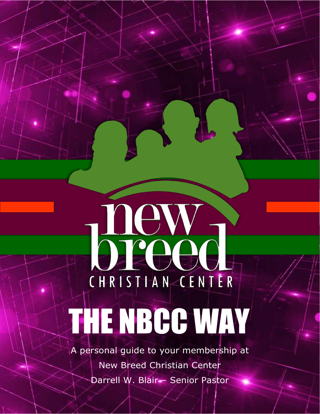# D-ew-CHRISTIAN CENTER THE NBCC WAY

A personal guide to your membership at New Breed Christian Center Darrell W. Blair – Senior Pastor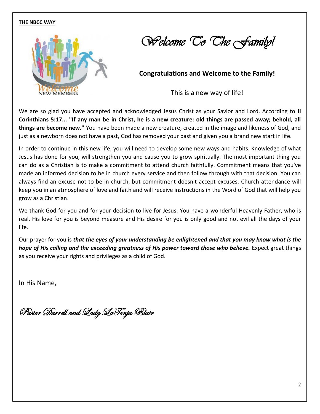

*Welcome To The Family!* 

 **Congratulations and Welcome to the Family!** 

This is a new way of life!

We are so glad you have accepted and acknowledged Jesus Christ as your Savior and Lord. According to **II Corinthians 5:17... "If any man be in Christ, he is a new creature: old things are passed away; behold, all things are become new."** You have been made a new creature, created in the image and likeness of God, and just as a newborn does not have a past, God has removed your past and given you a brand new start in life.

In order to continue in this new life, you will need to develop some new ways and habits. Knowledge of what Jesus has done for you, will strengthen you and cause you to grow spiritually. The most important thing you can do as a Christian is to make a commitment to attend church faithfully. Commitment means that you've made an informed decision to be in church every service and then follow through with that decision. You can always find an excuse not to be in church, but commitment doesn't accept excuses. Church attendance will keep you in an atmosphere of love and faith and will receive instructions in the Word of God that will help you grow as a Christian.

We thank God for you and for your decision to live for Jesus. You have a wonderful Heavenly Father, who is real. His love for you is beyond measure and His desire for you is only good and not evil all the days of your life.

Our prayer for you is *that the eyes of your understanding be enlightened and that you may know what is the hope of His calling and the exceeding greatness of His power toward those who believe.* Expect great things as you receive your rights and privileges as a child of God.

In His Name,

Pastor Darrell and Lady LaTonja Blair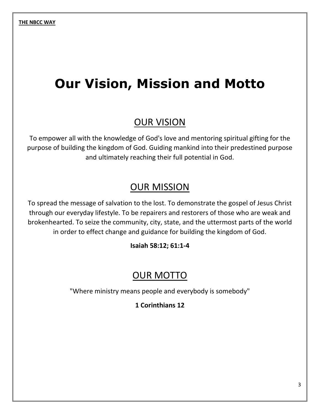# **Our Vision, Mission and Motto**

#### OUR VISION

To empower all with the knowledge of God's love and mentoring spiritual gifting for the purpose of building the kingdom of God. Guiding mankind into their predestined purpose and ultimately reaching their full potential in God.

#### **OUR MISSION**

To spread the message of salvation to the lost. To demonstrate the gospel of Jesus Christ through our everyday lifestyle. To be repairers and restorers of those who are weak and brokenhearted. To seize the community, city, state, and the uttermost parts of the world in order to effect change and guidance for building the kingdom of God.

**Isaiah 58:12; 61:1-4**

#### **OUR MOTTO**

"Where ministry means people and everybody is somebody"

**1 Corinthians 12**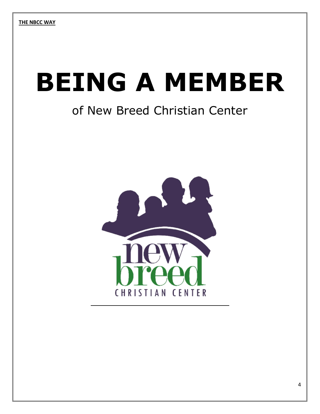# **BEING A MEMBER**

## of New Breed Christian Center

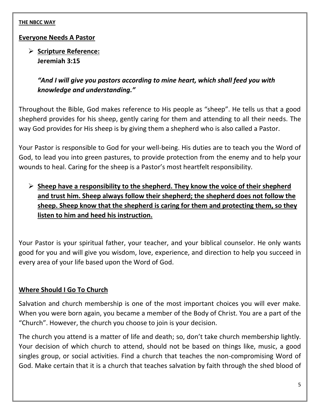#### **Everyone Needs A Pastor**

➢ **Scripture Reference: Jeremiah 3:15**

> *"And I will give you pastors according to mine heart, which shall feed you with knowledge and understanding."*

Throughout the Bible, God makes reference to His people as "sheep". He tells us that a good shepherd provides for his sheep, gently caring for them and attending to all their needs. The way God provides for His sheep is by giving them a shepherd who is also called a Pastor.

Your Pastor is responsible to God for your well-being. His duties are to teach you the Word of God, to lead you into green pastures, to provide protection from the enemy and to help your wounds to heal. Caring for the sheep is a Pastor's most heartfelt responsibility.

➢ **Sheep have a responsibility to the shepherd. They know the voice of their shepherd and trust him. Sheep always follow their shepherd; the shepherd does not follow the sheep. Sheep know that the shepherd is caring for them and protecting them, so they listen to him and heed his instruction.**

Your Pastor is your spiritual father, your teacher, and your biblical counselor. He only wants good for you and will give you wisdom, love, experience, and direction to help you succeed in every area of your life based upon the Word of God.

#### **Where Should I Go To Church**

Salvation and church membership is one of the most important choices you will ever make. When you were born again, you became a member of the Body of Christ. You are a part of the "Church". However, the church you choose to join is your decision.

The church you attend is a matter of life and death; so, don't take church membership lightly. Your decision of which church to attend, should not be based on things like, music, a good singles group, or social activities. Find a church that teaches the non-compromising Word of God. Make certain that it is a church that teaches salvation by faith through the shed blood of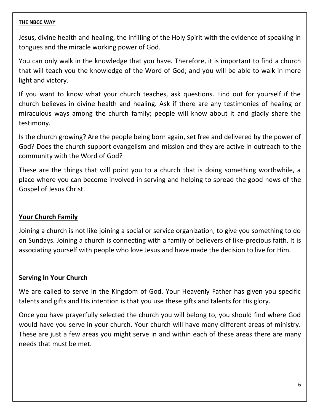Jesus, divine health and healing, the infilling of the Holy Spirit with the evidence of speaking in tongues and the miracle working power of God.

You can only walk in the knowledge that you have. Therefore, it is important to find a church that will teach you the knowledge of the Word of God; and you will be able to walk in more light and victory.

If you want to know what your church teaches, ask questions. Find out for yourself if the church believes in divine health and healing. Ask if there are any testimonies of healing or miraculous ways among the church family; people will know about it and gladly share the testimony.

Is the church growing? Are the people being born again, set free and delivered by the power of God? Does the church support evangelism and mission and they are active in outreach to the community with the Word of God?

These are the things that will point you to a church that is doing something worthwhile, a place where you can become involved in serving and helping to spread the good news of the Gospel of Jesus Christ.

#### **Your Church Family**

Joining a church is not like joining a social or service organization, to give you something to do on Sundays. Joining a church is connecting with a family of believers of like-precious faith. It is associating yourself with people who love Jesus and have made the decision to live for Him.

#### **Serving In Your Church**

We are called to serve in the Kingdom of God. Your Heavenly Father has given you specific talents and gifts and His intention is that you use these gifts and talents for His glory.

Once you have prayerfully selected the church you will belong to, you should find where God would have you serve in your church. Your church will have many different areas of ministry. These are just a few areas you might serve in and within each of these areas there are many needs that must be met.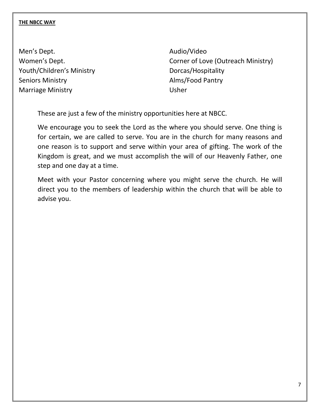Men's Dept. **Audio/Video** Youth/Children's Ministry **Dorcas/Hospitality** Seniors Ministry **Alms** Alms Alms Alms Antique Marriage Ministry **National Strutter Ministry** Usher

Women's Dept. **Comer of Love (Outreach Ministry)** 

These are just a few of the ministry opportunities here at NBCC.

We encourage you to seek the Lord as the where you should serve. One thing is for certain, we are called to serve. You are in the church for many reasons and one reason is to support and serve within your area of gifting. The work of the Kingdom is great, and we must accomplish the will of our Heavenly Father, one step and one day at a time.

Meet with your Pastor concerning where you might serve the church. He will direct you to the members of leadership within the church that will be able to advise you.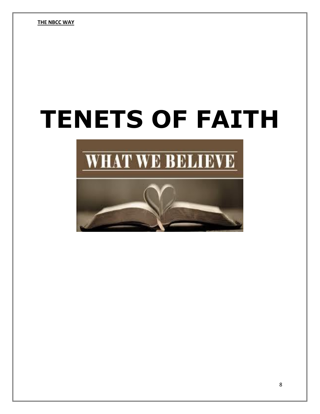# **TENETS OF FAITH**

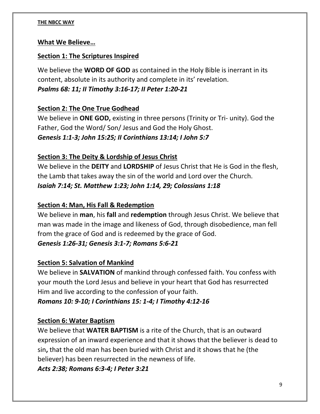#### **What We Believe…**

#### **Section 1: The Scriptures Inspired**

We believe the **WORD OF GOD** as contained in the Holy Bible is inerrant in its content, absolute in its authority and complete in its' revelation. *Psalms 68: 11; II Timothy 3:16-17; II Peter 1:20-21*

#### **Section 2: The One True Godhead**

We believe in **ONE GOD,** existing in three persons (Trinity or Tri- unity). God the Father, God the Word/ Son/ Jesus and God the Holy Ghost. *Genesis 1:1-3; John 15:25; II Corinthians 13:14; I John 5:7*

#### **Section 3: The Deity & Lordship of Jesus Christ**

We believe in the **DEITY** and **LORDSHIP** of Jesus Christ that He is God in the flesh, the Lamb that takes away the sin of the world and Lord over the Church. *Isaiah 7:14; St. Matthew 1:23; John 1:14, 29; Colossians 1:18*

#### **Section 4: Man, His Fall & Redemption**

We believe in **man**, his **fall** and **redemption** through Jesus Christ. We believe that man was made in the image and likeness of God, through disobedience, man fell from the grace of God and is redeemed by the grace of God.

### *Genesis 1:26-31; Genesis 3:1-7; Romans 5:6-21*

#### **Section 5: Salvation of Mankind**

We believe in **SALVATION** of mankind through confessed faith. You confess with your mouth the Lord Jesus and believe in your heart that God has resurrected Him and live according to the confession of your faith.

#### *Romans 10: 9-10; I Corinthians 15: 1-4; I Timothy 4:12-16*

#### **Section 6: Water Baptism**

We believe that **WATER BAPTISM** is a rite of the Church, that is an outward expression of an inward experience and that it shows that the believer is dead to sin**,** that the old man has been buried with Christ and it shows that he (the believer) has been resurrected in the newness of life.

*Acts 2:38; Romans 6:3-4; I Peter 3:21*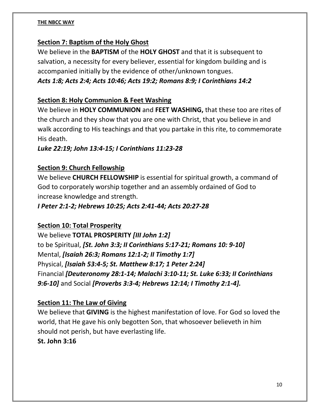#### **Section 7: Baptism of the Holy Ghost**

We believe in the **BAPTISM** of the **HOLY GHOST** and that it is subsequent to salvation, a necessity for every believer, essential for kingdom building and is accompanied initially by the evidence of other/unknown tongues. *Acts 1:8; Acts 2:4; Acts 10:46; Acts 19:2; Romans 8:9; I Corinthians 14:2*

#### **Section 8: Holy Communion & Feet Washing**

We believe in **HOLY COMMUNION** and **FEET WASHING,** that these too are rites of the church and they show that you are one with Christ, that you believe in and walk according to His teachings and that you partake in this rite, to commemorate His death.

#### *Luke 22:19; John 13:4-15; I Corinthians 11:23-28*

#### **Section 9: Church Fellowship**

We believe **CHURCH FELLOWSHIP** is essential for spiritual growth, a command of God to corporately worship together and an assembly ordained of God to increase knowledge and strength.

#### *I Peter 2:1-2; Hebrews 10:25; Acts 2:41-44; Acts 20:27-28*

#### **Section 10: Total Prosperity**

We believe **TOTAL PROSPERITY** *[III John 1:2]* to be Spiritual, *[St. John 3:3; II Corinthians 5:17-21; Romans 10: 9-10]* Mental, *[Isaiah 26:3; Romans 12:1-2; II Timothy 1:7]* Physical, *[Isaiah 53:4-5; St. Matthew 8:17; 1 Peter 2:24]* Financial *[Deuteronomy 28:1-14; Malachi 3:10-11; St. Luke 6:33; II Corinthians 9:6-10]* and Social *[Proverbs 3:3-4; Hebrews 12:14; I Timothy 2:1-4].*

#### **Section 11: The Law of Giving**

We believe that **GIVING** is the highest manifestation of love. For God so loved the world, that He gave his only begotten Son, that whosoever believeth in him should not perish, but have everlasting life.

#### **St. John 3:16**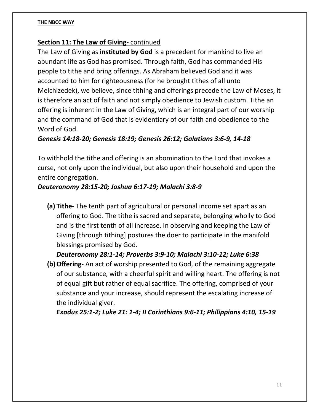#### **Section 11: The Law of Giving-** continued

The Law of Giving as **instituted by God** is a precedent for mankind to live an abundant life as God has promised. Through faith, God has commanded His people to tithe and bring offerings. As Abraham believed God and it was accounted to him for righteousness (for he brought tithes of all unto Melchizedek), we believe, since tithing and offerings precede the Law of Moses, it is therefore an act of faith and not simply obedience to Jewish custom. Tithe an offering is inherent in the Law of Giving, which is an integral part of our worship and the command of God that is evidentiary of our faith and obedience to the Word of God.

#### *Genesis 14:18-20; Genesis 18:19; Genesis 26:12; Galatians 3:6-9, 14-18*

To withhold the tithe and offering is an abomination to the Lord that invokes a curse, not only upon the individual, but also upon their household and upon the entire congregation.

#### *Deuteronomy 28:15-20; Joshua 6:17-19; Malachi 3:8-9*

**(a) Tithe-** The tenth part of agricultural or personal income set apart as an offering to God. The tithe is sacred and separate, belonging wholly to God and is the first tenth of all increase. In observing and keeping the Law of Giving [through tithing] postures the doer to participate in the manifold blessings promised by God.

*Deuteronomy 28:1-14; Proverbs 3:9-10; Malachi 3:10-12; Luke 6:38*

**(b)Offering-** An act of worship presented to God, of the remaining aggregate of our substance, with a cheerful spirit and willing heart. The offering is not of equal gift but rather of equal sacrifice. The offering, comprised of your substance and your increase, should represent the escalating increase of the individual giver.

*Exodus 25:1-2; Luke 21: 1-4; II Corinthians 9:6-11; Philippians 4:10, 15-19*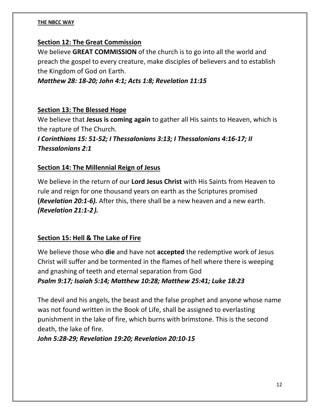#### **Section 12: The Great Commission**

We believe **GREAT COMMISSION** of the church is to go into all the world and preach the gospel to every creature, make disciples of believers and to establish the Kingdom of God on Earth.

*Matthew 28: 18-20; John 4:1; Acts 1:8; Revelation 11:15*

#### **Section 13: The Blessed Hope**

We believe that **Jesus is coming again** to gather all His saints to Heaven, which is the rapture of The Church.

*I Corinthians 15: 51-52; I Thessalonians 3:13; I Thessalonians 4:16-17; II Thessalonians 2:1*

#### **Section 14: The Millennial Reign of Jesus**

We believe in the return of our **Lord Jesus Christ** with His Saints from Heaven to rule and reign for one thousand years on earth as the Scriptures promised **(***Revelation 20:1-6).* After this, there shall be a new heaven and a new earth. *(Revelation 21:1-2).*

#### **Section 15: Hell & The Lake of Fire**

We believe those who **die** and have not **accepted** the redemptive work of Jesus Christ will suffer and be tormented in the flames of hell where there is weeping and gnashing of teeth and eternal separation from God *Psalm 9:17; Isaiah 5:14; Matthew 10:28; Matthew 25:41; Luke 18:23*

The devil and his angels, the beast and the false prophet and anyone whose name was not found written in the Book of Life, shall be assigned to everlasting punishment in the lake of fire, which burns with brimstone. This is the second death, the lake of fire.

#### *John 5:28-29; Revelation 19:20; Revelation 20:10-15*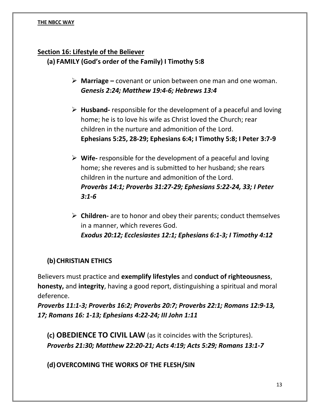#### **Section 16: Lifestyle of the Believer**

**(a) FAMILY (God's order of the Family) I Timothy 5:8**

- ➢ **Marriage –** covenant or union between one man and one woman. *Genesis 2:24; Matthew 19:4-6; Hebrews 13:4*
- ➢ **Husband-** responsible for the development of a peaceful and loving home; he is to love his wife as Christ loved the Church; rear children in the nurture and admonition of the Lord. **Ephesians 5:25, 28-29; Ephesians 6:4; I Timothy 5:8; I Peter 3:7-9**
- ➢ **Wife-** responsible for the development of a peaceful and loving home; she reveres and is submitted to her husband; she rears children in the nurture and admonition of the Lord. *Proverbs 14:1; Proverbs 31:27-29; Ephesians 5:22-24, 33; I Peter 3:1-6*
- ➢ **Children-** are to honor and obey their parents; conduct themselves in a manner, which reveres God. *Exodus 20:12; Ecclesiastes 12:1; Ephesians 6:1-3; I Timothy 4:12*

#### **(b)CHRISTIAN ETHICS**

Believers must practice and **exemplify lifestyles** and **conduct of righteousness**, **honesty,** and **integrity**, having a good report, distinguishing a spiritual and moral deference.

*Proverbs 11:1-3; Proverbs 16:2; Proverbs 20:7; Proverbs 22:1; Romans 12:9-13, 17; Romans 16: 1-13; Ephesians 4:22-24; III John 1:11*

**(c) OBEDIENCE TO CIVIL LAW** (as it coincides with the Scriptures). *Proverbs 21:30; Matthew 22:20-21; Acts 4:19; Acts 5:29; Romans 13:1-7*

**(d)OVERCOMING THE WORKS OF THE FLESH/SIN**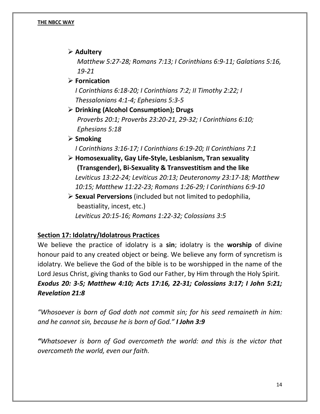➢ **Adultery**

*Matthew 5:27-28; Romans 7:13; I Corinthians 6:9-11; Galatians 5:16, 19-21*

➢ **Fornication**

*I Corinthians 6:18-20; I Corinthians 7:2; II Timothy 2:22; I Thessalonians 4:1-4; Ephesians 5:3-5*

➢ **Drinking (Alcohol Consumption); Drugs** *Proverbs 20:1; Proverbs 23:20-21, 29-32; I Corinthians 6:10; Ephesians 5:18*

#### ➢ **Smoking**

*I Corinthians 3:16-17; I Corinthians 6:19-20; II Corinthians 7:1*

- ➢ **Homosexuality, Gay Life-Style, Lesbianism, Tran sexuality (Transgender), Bi-Sexuality & Transvestitism and the like** *Leviticus 13:22-24; Leviticus 20:13; Deuteronomy 23:17-18; Matthew 10:15; Matthew 11:22-23; Romans 1:26-29; I Corinthians 6:9-10*
- ➢ **Sexual Perversions** (included but not limited to pedophilia, beastiality, incest, etc.) *Leviticus 20:15-16; Romans 1:22-32; Colossians 3:5*

#### **Section 17: Idolatry/Idolatrous Practices**

We believe the practice of idolatry is a **sin**; idolatry is the **worship** of divine honour paid to any created object or being. We believe any form of syncretism is idolatry. We believe the God of the bible is to be worshipped in the name of the Lord Jesus Christ, giving thanks to God our Father, by Him through the Holy Spirit. *Exodus 20: 3-5; Matthew 4:10; Acts 17:16, 22-31; Colossians 3:17; I John 5:21; Revelation 21:8* 

*"Whosoever is born of God doth not commit sin; for his seed remaineth in him: and he cannot sin, because he is born of God." I John 3:9*

*"Whatsoever is born of God overcometh the world: and this is the victor that overcometh the world, even our faith.*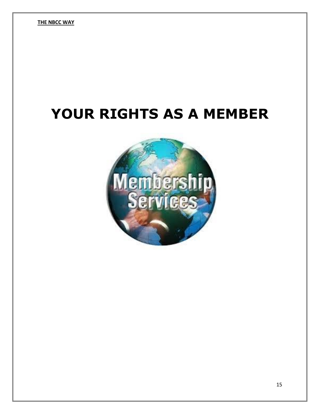# **YOUR RIGHTS AS A MEMBER**

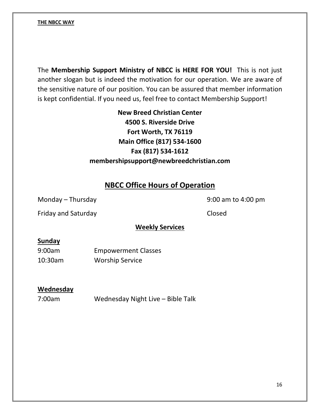The **Membership Support Ministry of NBCC is HERE FOR YOU!** This is not just another slogan but is indeed the motivation for our operation. We are aware of the sensitive nature of our position. You can be assured that member information is kept confidential. If you need us, feel free to contact Membership Support!

> **New Breed Christian Center 4500 S. Riverside Drive Fort Worth, TX 76119 Main Office (817) 534-1600 Fax (817) 534-1612 membershipsupport@newbreedchristian.com**

#### **NBCC Office Hours of Operation**

Monday – Thursday and the state of the 100 m state of the 9:00 am to 4:00 pm

Friday and Saturday **Closed** 

#### **Weekly Services**

#### **Sunday**

9:00am Empowerment Classes 10:30am Worship Service

#### **Wednesday**

7:00am Wednesday Night Live – Bible Talk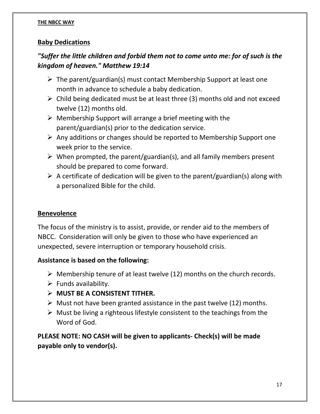#### **Baby Dedications**

#### *"Suffer the little children and forbid them not to come unto me: for of such is the kingdom of heaven." Matthew 19:14*

- $\triangleright$  The parent/guardian(s) must contact Membership Support at least one month in advance to schedule a baby dedication.
- $\triangleright$  Child being dedicated must be at least three (3) months old and not exceed twelve (12) months old.
- $\triangleright$  Membership Support will arrange a brief meeting with the parent/guardian(s) prior to the dedication service.
- $\triangleright$  Any additions or changes should be reported to Membership Support one week prior to the service.
- $\triangleright$  When prompted, the parent/guardian(s), and all family members present should be prepared to come forward.
- $\triangleright$  A certificate of dedication will be given to the parent/guardian(s) along with a personalized Bible for the child.

#### **Benevolence**

The focus of the ministry is to assist, provide, or render aid to the members of NBCC. Consideration will only be given to those who have experienced an unexpected, severe interruption or temporary household crisis.

#### **Assistance is based on the following:**

- $\triangleright$  Membership tenure of at least twelve (12) months on the church records.
- $\triangleright$  Funds availability.
- ➢ **MUST BE A CONSISTENT TITHER.**
- $\triangleright$  Must not have been granted assistance in the past twelve (12) months.
- $\triangleright$  Must be living a righteous lifestyle consistent to the teachings from the Word of God.

**PLEASE NOTE: NO CASH will be given to applicants- Check(s) will be made payable only to vendor(s).**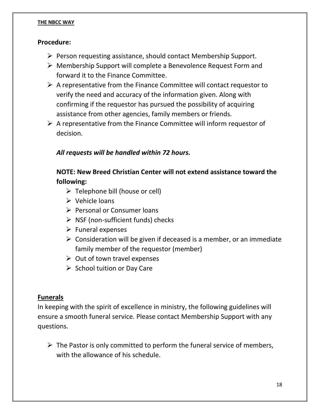#### **Procedure:**

- ➢ Person requesting assistance, should contact Membership Support.
- ➢ Membership Support will complete a Benevolence Request Form and forward it to the Finance Committee.
- $\triangleright$  A representative from the Finance Committee will contact requestor to verify the need and accuracy of the information given. Along with confirming if the requestor has pursued the possibility of acquiring assistance from other agencies, family members or friends.
- $\triangleright$  A representative from the Finance Committee will inform requestor of decision.

#### *All requests will be handled within 72 hours.*

#### **NOTE: New Breed Christian Center will not extend assistance toward the following:**

- ➢ Telephone bill (house or cell)
- $\triangleright$  Vehicle loans
- ➢ Personal or Consumer loans
- ➢ NSF (non-sufficient funds) checks
- $\triangleright$  Funeral expenses
- $\triangleright$  Consideration will be given if deceased is a member, or an immediate family member of the requestor (member)
- $\triangleright$  Out of town travel expenses
- ➢ School tuition or Day Care

#### **Funerals**

In keeping with the spirit of excellence in ministry, the following guidelines will ensure a smooth funeral service. Please contact Membership Support with any questions.

 $\triangleright$  The Pastor is only committed to perform the funeral service of members, with the allowance of his schedule.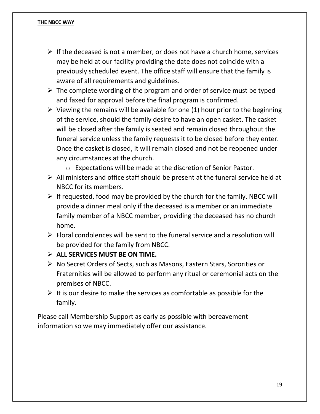- $\triangleright$  If the deceased is not a member, or does not have a church home, services may be held at our facility providing the date does not coincide with a previously scheduled event. The office staff will ensure that the family is aware of all requirements and guidelines.
- $\triangleright$  The complete wording of the program and order of service must be typed and faxed for approval before the final program is confirmed.
- $\triangleright$  Viewing the remains will be available for one (1) hour prior to the beginning of the service, should the family desire to have an open casket. The casket will be closed after the family is seated and remain closed throughout the funeral service unless the family requests it to be closed before they enter. Once the casket is closed, it will remain closed and not be reopened under any circumstances at the church.
	- o Expectations will be made at the discretion of Senior Pastor.
- $\triangleright$  All ministers and office staff should be present at the funeral service held at NBCC for its members.
- $\triangleright$  If requested, food may be provided by the church for the family. NBCC will provide a dinner meal only if the deceased is a member or an immediate family member of a NBCC member, providing the deceased has no church home.
- $\triangleright$  Floral condolences will be sent to the funeral service and a resolution will be provided for the family from NBCC.
- ➢ **ALL SERVICES MUST BE ON TIME.**
- ➢ No Secret Orders of Sects, such as Masons, Eastern Stars, Sororities or Fraternities will be allowed to perform any ritual or ceremonial acts on the premises of NBCC.
- $\triangleright$  It is our desire to make the services as comfortable as possible for the family.

Please call Membership Support as early as possible with bereavement information so we may immediately offer our assistance.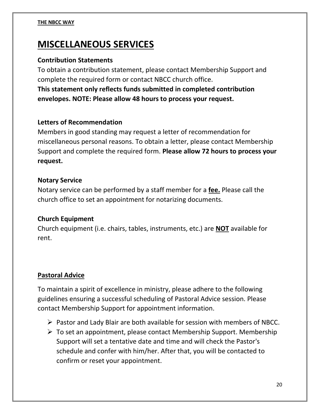### **MISCELLANEOUS SERVICES**

#### **Contribution Statements**

To obtain a contribution statement, please contact Membership Support and complete the required form or contact NBCC church office.

**This statement only reflects funds submitted in completed contribution envelopes. NOTE: Please allow 48 hours to process your request.**

#### **Letters of Recommendation**

Members in good standing may request a letter of recommendation for miscellaneous personal reasons. To obtain a letter, please contact Membership Support and complete the required form. **Please allow 72 hours to process your request.**

#### **Notary Service**

Notary service can be performed by a staff member for a **fee.** Please call the church office to set an appointment for notarizing documents.

#### **Church Equipment**

Church equipment (i.e. chairs, tables, instruments, etc.) are **NOT** available for rent.

#### **Pastoral Advice**

To maintain a spirit of excellence in ministry, please adhere to the following guidelines ensuring a successful scheduling of Pastoral Advice session. Please contact Membership Support for appointment information.

- ➢ Pastor and Lady Blair are both available for session with members of NBCC.
- $\triangleright$  To set an appointment, please contact Membership Support. Membership Support will set a tentative date and time and will check the Pastor's schedule and confer with him/her. After that, you will be contacted to confirm or reset your appointment.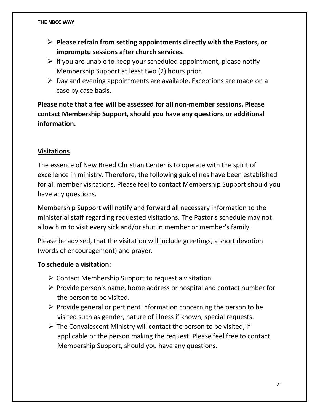- ➢ **Please refrain from setting appointments directly with the Pastors, or impromptu sessions after church services.**
- $\triangleright$  If you are unable to keep your scheduled appointment, please notify Membership Support at least two (2) hours prior.
- $\triangleright$  Day and evening appointments are available. Exceptions are made on a case by case basis.

**Please note that a fee will be assessed for all non-member sessions. Please contact Membership Support, should you have any questions or additional information.**

#### **Visitations**

The essence of New Breed Christian Center is to operate with the spirit of excellence in ministry. Therefore, the following guidelines have been established for all member visitations. Please feel to contact Membership Support should you have any questions.

Membership Support will notify and forward all necessary information to the ministerial staff regarding requested visitations. The Pastor's schedule may not allow him to visit every sick and/or shut in member or member's family.

Please be advised, that the visitation will include greetings, a short devotion (words of encouragement) and prayer.

#### **To schedule a visitation:**

- $\triangleright$  Contact Membership Support to request a visitation.
- ➢ Provide person's name, home address or hospital and contact number for the person to be visited.
- $\triangleright$  Provide general or pertinent information concerning the person to be visited such as gender, nature of illness if known, special requests.
- $\triangleright$  The Convalescent Ministry will contact the person to be visited, if applicable or the person making the request. Please feel free to contact Membership Support, should you have any questions.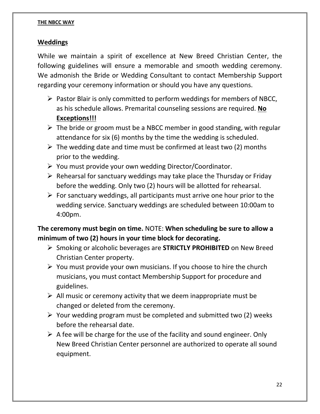#### **Weddings**

While we maintain a spirit of excellence at New Breed Christian Center, the following guidelines will ensure a memorable and smooth wedding ceremony. We admonish the Bride or Wedding Consultant to contact Membership Support regarding your ceremony information or should you have any questions.

- ➢ Pastor Blair is only committed to perform weddings for members of NBCC, as his schedule allows. Premarital counseling sessions are required. **No Exceptions!!!**
- $\triangleright$  The bride or groom must be a NBCC member in good standing, with regular attendance for six (6) months by the time the wedding is scheduled.
- $\triangleright$  The wedding date and time must be confirmed at least two (2) months prior to the wedding.
- ➢ You must provide your own wedding Director/Coordinator.
- $\triangleright$  Rehearsal for sanctuary weddings may take place the Thursday or Friday before the wedding. Only two (2) hours will be allotted for rehearsal.
- $\triangleright$  For sanctuary weddings, all participants must arrive one hour prior to the wedding service. Sanctuary weddings are scheduled between 10:00am to 4:00pm.

**The ceremony must begin on time.** NOTE: **When scheduling be sure to allow a minimum of two (2) hours in your time block for decorating.**

- ➢ Smoking or alcoholic beverages are **STRICTLY PROHIBITED** on New Breed Christian Center property.
- $\triangleright$  You must provide your own musicians. If you choose to hire the church musicians, you must contact Membership Support for procedure and guidelines.
- $\triangleright$  All music or ceremony activity that we deem inappropriate must be changed or deleted from the ceremony.
- $\triangleright$  Your wedding program must be completed and submitted two (2) weeks before the rehearsal date.
- $\triangleright$  A fee will be charge for the use of the facility and sound engineer. Only New Breed Christian Center personnel are authorized to operate all sound equipment.